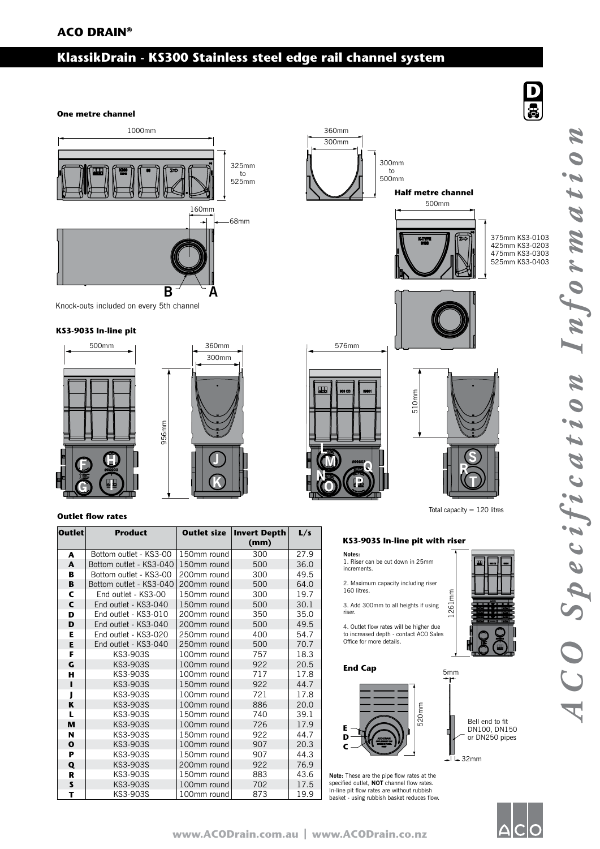# **ACO DRAIN®**

# **KlassikDrain - KS300 Stainless steel edge rail channel system**

**One metre channel**



956mm

Knock-outs included on every 5th channel

### **KS3-903S In-line pit**





## **Outlet flow rates**

| <b>Outlet</b> | <b>Product</b>          | <b>Outlet size</b> | Invert Depth<br>(mm) | L/s  |
|---------------|-------------------------|--------------------|----------------------|------|
| A             | Bottom outlet - KS3-00  | 150mm round        | 300                  | 27.9 |
| A             | Bottom outlet - KS3-040 | 150mm round        | 500                  | 36.0 |
| B             | Bottom outlet - KS3-00  | 200mm round        | 300                  | 49.5 |
| B             | Bottom outlet - KS3-040 | 200mm round        | 500                  | 64.0 |
| C             | End outlet - KS3-00     | 150mm round        | 300                  | 19.7 |
| C             | End outlet - KS3-040    | 150mm round        | 500                  | 30.1 |
| D             | End outlet - KS3-010    | 200mm round        | 350                  | 35.0 |
| D             | End outlet - KS3-040    | 200mm round        | 500                  | 49.5 |
| Е             | End outlet - KS3-020    | 250mm round        | 400                  | 54.7 |
| Е             | End outlet - KS3-040    | 250mm round        | 500                  | 70.7 |
| F             | KS3-903S                | 100mm round        | 757                  | 18.3 |
| G             | KS3-903S                | 100mm round        | 922                  | 20.5 |
| н             | KS3-903S                | 100mm round        | 717                  | 17.8 |
| п             | KS3-903S                | 150mm round        | 922                  | 44.7 |
| ı             | KS3-903S                | 100mm round        | 721                  | 17.8 |
| K             | KS3-903S                | 100mm round        | 886                  | 20.0 |
| L             | KS3-903S                | 150mm round        | 740                  | 39.1 |
| M             | KS3-903S                | 100mm round        | 726                  | 17.9 |
| N             | KS3-903S                | 150mm round        | 922                  | 44.7 |
| $\mathbf{o}$  | KS3-903S                | 100mm round        | 907                  | 20.3 |
| P             | KS3-903S                | 150mm round        | 907                  | 44.3 |
| Q             | KS3-903S                | 200mm round        | 922                  | 76.9 |
| R             | KS3-903S                | 150mm round        | 883                  | 43.6 |
| S             | KS3-903S                | 100mm round        | 702                  | 17.5 |
| т             | KS3-903S                | 100mm round        | 873                  | 19.9 |



# KS3-903S In-line pit with riser

1261mm

5mm

- **Notes:** 1. Riser can be cut down in 25mm increments.
- 2. Maximum capacity including riser 160 litres.
- 3. Add 300mm to all heights if using riser.

4. Outlet flow rates will be higher due to increased depth - contact ACO Sales Office for more details.

#### **End Cap**



**Note:** These are the pipe flow rates at the specified outlet, **NOT** channel flow rates. In-line pit flow rates are without rubbish basket - using rubbish basket reduces flow.